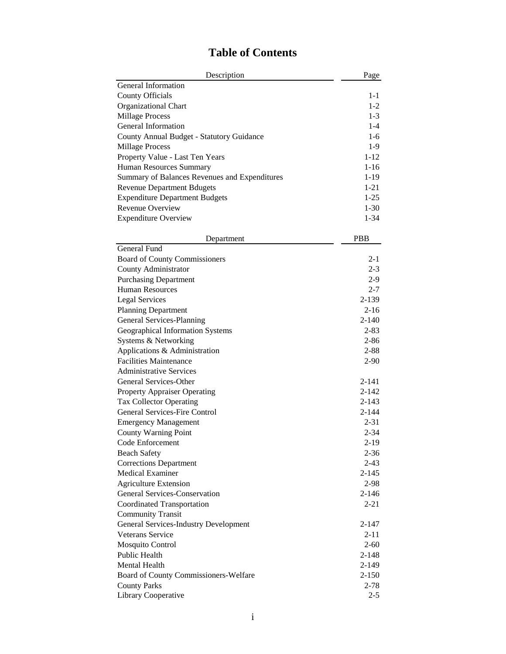| Description                                   | Page      |
|-----------------------------------------------|-----------|
| General Information                           |           |
| <b>County Officials</b>                       | $1 - 1$   |
| Organizational Chart                          | $1-2$     |
| <b>Millage Process</b>                        | $1-3$     |
| General Information                           | $1-4$     |
| County Annual Budget - Statutory Guidance     | $1-6$     |
| <b>Millage Process</b>                        | $1-9$     |
| Property Value - Last Ten Years               | $1 - 12$  |
| Human Resources Summary                       | $1 - 16$  |
| Summary of Balances Revenues and Expenditures | $1-19$    |
| <b>Revenue Department Bdugets</b>             | $1 - 21$  |
| <b>Expenditure Department Budgets</b>         | $1-25$    |
| Revenue Overview                              | $1 - 30$  |
| <b>Expenditure Overview</b>                   | $1 - 34$  |
|                                               |           |
| Department                                    | PBB       |
| General Fund                                  |           |
| <b>Board of County Commissioners</b>          | $2 - 1$   |
| County Administrator                          | $2 - 3$   |
| <b>Purchasing Department</b>                  | $2-9$     |
| <b>Human Resources</b>                        | $2 - 7$   |
| <b>Legal Services</b>                         | 2-139     |
| <b>Planning Department</b>                    | $2 - 16$  |
| General Services-Planning                     | $2 - 140$ |
| Geographical Information Systems              | $2 - 83$  |
| Systems & Networking                          | $2 - 86$  |
| Applications & Administration                 | $2 - 88$  |
| <b>Facilities Maintenance</b>                 | $2 - 90$  |
| <b>Administrative Services</b>                |           |
| General Services-Other                        | $2 - 141$ |
| <b>Property Appraiser Operating</b>           | $2 - 142$ |
| <b>Tax Collector Operating</b>                | $2 - 143$ |
| <b>General Services-Fire Control</b>          | $2 - 144$ |
| <b>Emergency Management</b>                   | $2 - 31$  |
| <b>County Warning Point</b>                   | $2 - 34$  |
| Code Enforcement                              | $2 - 19$  |
| <b>Beach Safety</b>                           | $2 - 36$  |
| <b>Corrections Department</b>                 | $2 - 43$  |
| <b>Medical Examiner</b>                       | $2 - 145$ |
| <b>Agriculture Extension</b>                  | 2-98      |
| General Services-Conservation                 | $2 - 146$ |
| <b>Coordinated Transportation</b>             | $2 - 21$  |
| <b>Community Transit</b>                      |           |
| <b>General Services-Industry Development</b>  | 2-147     |
| <b>Veterans Service</b>                       | $2 - 11$  |
| Mosquito Control                              | $2 - 60$  |
| Public Health                                 | $2 - 148$ |
| <b>Mental Health</b>                          | $2 - 149$ |
| Board of County Commissioners-Welfare         | $2 - 150$ |
| <b>County Parks</b>                           | $2 - 78$  |
| Library Cooperative                           | $2 - 5$   |

## **Table of Contents**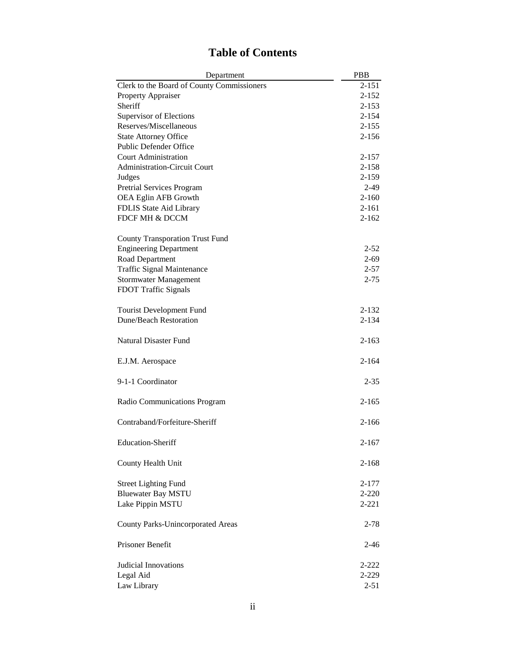| <b>Table of Contents</b> |  |  |
|--------------------------|--|--|
|                          |  |  |

| Department                                 | <b>PBB</b> |
|--------------------------------------------|------------|
| Clerk to the Board of County Commissioners | $2 - 151$  |
| Property Appraiser                         | $2 - 152$  |
| Sheriff                                    | $2 - 153$  |
| Supervisor of Elections                    | $2 - 154$  |
| Reserves/Miscellaneous                     | $2 - 155$  |
| <b>State Attorney Office</b>               | $2 - 156$  |
| Public Defender Office                     |            |
| <b>Court Administration</b>                | 2-157      |
| Administration-Circuit Court               | $2 - 158$  |
| Judges                                     | 2-159      |
| Pretrial Services Program                  | $2-49$     |
| OEA Eglin AFB Growth                       | $2 - 160$  |
| FDLIS State Aid Library                    | 2-161      |
| FDCF MH & DCCM                             | $2 - 162$  |
|                                            |            |
| <b>County Transporation Trust Fund</b>     |            |
| <b>Engineering Department</b>              | $2 - 52$   |
| Road Department                            | $2 - 69$   |
| <b>Traffic Signal Maintenance</b>          | $2 - 57$   |
| <b>Stormwater Management</b>               | $2 - 75$   |
| FDOT Traffic Signals                       |            |
|                                            |            |
| <b>Tourist Development Fund</b>            | 2-132      |
| <b>Dune/Beach Restoration</b>              | 2-134      |
|                                            |            |
| <b>Natural Disaster Fund</b>               | $2 - 163$  |
|                                            |            |
| E.J.M. Aerospace                           | $2 - 164$  |
|                                            |            |
| 9-1-1 Coordinator                          | $2 - 35$   |
|                                            |            |
| Radio Communications Program               | $2 - 165$  |
|                                            |            |
| Contraband/Forfeiture-Sheriff              | $2 - 166$  |
|                                            |            |
| <b>Education-Sheriff</b>                   | 2-167      |
|                                            |            |
| County Health Unit                         | $2 - 168$  |
|                                            |            |
| <b>Street Lighting Fund</b>                | 2-177      |
| <b>Bluewater Bay MSTU</b>                  | $2 - 220$  |
| Lake Pippin MSTU                           | $2 - 221$  |
|                                            |            |
| <b>County Parks-Unincorporated Areas</b>   | $2 - 78$   |
|                                            |            |
| Prisoner Benefit                           | $2 - 46$   |
|                                            |            |
| <b>Judicial Innovations</b>                | $2 - 222$  |
|                                            |            |
| Legal Aid                                  | 2-229      |
| Law Library                                | $2 - 51$   |